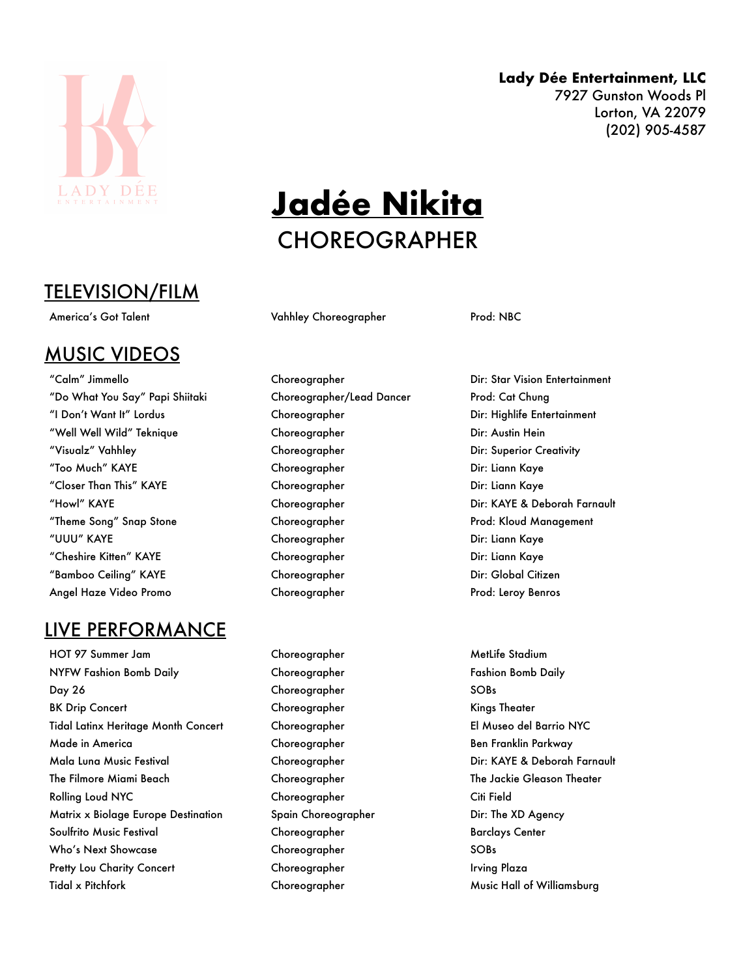

## TELEVISION/FILM

### MUSIC VIDEOS

"Do What You Say" Papi Shiitaki Choreographer/Lead Dancer Prod: Cat Chung "I Don't Want It" Lordus Choreographer Choreographer Dir: Highlife Entertainment "Well Well Wild" Teknique Choreographer Dir: Austin Hein "Visualz" Vahhley Choreographer Dir: Superior Creativity "Too Much" KAYE Choreographer Dir: Liann Kaye "Closer Than This" KAYE Choreographer Dir: Liann Kaye "Howl" KAYE Choreographer Dir: KAYE & Deborah Farnault "Theme Song" Snap Stone Choreographer Prod: Kloud Management "UUU" KAYE Choreographer Dir: Liann Kaye "Cheshire Kitten" KAYE Choreographer Dir: Liann Kaye "Bamboo Ceiling" KAYE Choreographer Dir: Global Citizen Angel Haze Video Promo Choreographer Prod: Leroy Benros

### LIVE PERFORMANCE

HOT 97 Summer Jam North Choreographer NetLife Stadium NYFW Fashion Bomb Daily **Choreographer** Choreographer Fashion Bomb Daily Day 26 Choreographer SOBs BK Drip Concert Choreographer Choreographer Choreographer Choreographer Kings Theater Tidal Latinx Heritage Month Concert Choreographer El Museo del Barrio NYC Made in America Choreographer Ben Franklin Parkway Mala Luna Music Festival Choreographer Dir: KAYE & Deborah Farnault The Filmore Miami Beach The Schoreographer The Jackie Gleason Theater The Jackie Gleason Theater Rolling Loud NYC Choreographer Citi Field Matrix x Biolage Europe Destination Spain Choreographer The Store Dir: The XD Agency Soulfrito Music Festival Choreographer Barclays Center Who's Next Showcase Choreographer SOBs Pretty Lou Charity Concert Choreographer Irving Plaza Tidal x Pitchfork Choreographer Music Hall of Williamsburg

# **Jadée Nikita** CHOREOGRAPHER

America's Got Talent Talent Choreographer Prod: NBC

"Calm" Jimmello Choreographer Dir: Star Vision Entertainment

#### **Lady Dée Entertainment, LLC**

7927 Gunston Woods Pl Lorton, VA 22079 (202) 905-4587